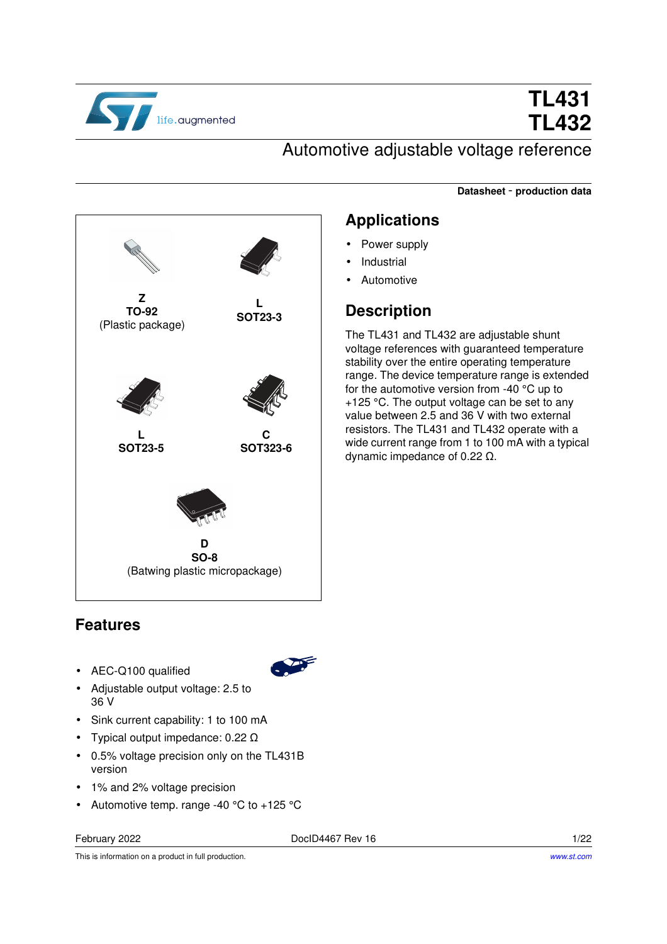

# **TL431 TL432**

### Automotive adjustable voltage reference

**Datasheet** - **production data**



#### **Features**

- AEC-Q100 qualified
- Adjustable output voltage: 2.5 to 36 V
- Sink current capability: 1 to 100 mA
- Typical output impedance: 0.22 Ω
- 0.5% voltage precision only on the TL431B version
- 1% and 2% voltage precision
- Automotive temp. range -40 °C to +125 °C

February 2022 **Doclous** Doclous **Doclous Rev 16** 1/22

This is information on a product in full production.

### **Applications**

- Power supply
- **Industrial**
- Automotive

#### **Description**

The TL431 and TL432 are adjustable shunt voltage references with guaranteed temperature stability over the entire operating temperature range. The device temperature range is extended for the automotive version from -40 °C up to +125 °C. The output voltage can be set to any value between 2.5 and 36 V with two external resistors. The TL431 and TL432 operate with a wide current range from 1 to 100 mA with a typical dynamic impedance of 0.22 Ω.

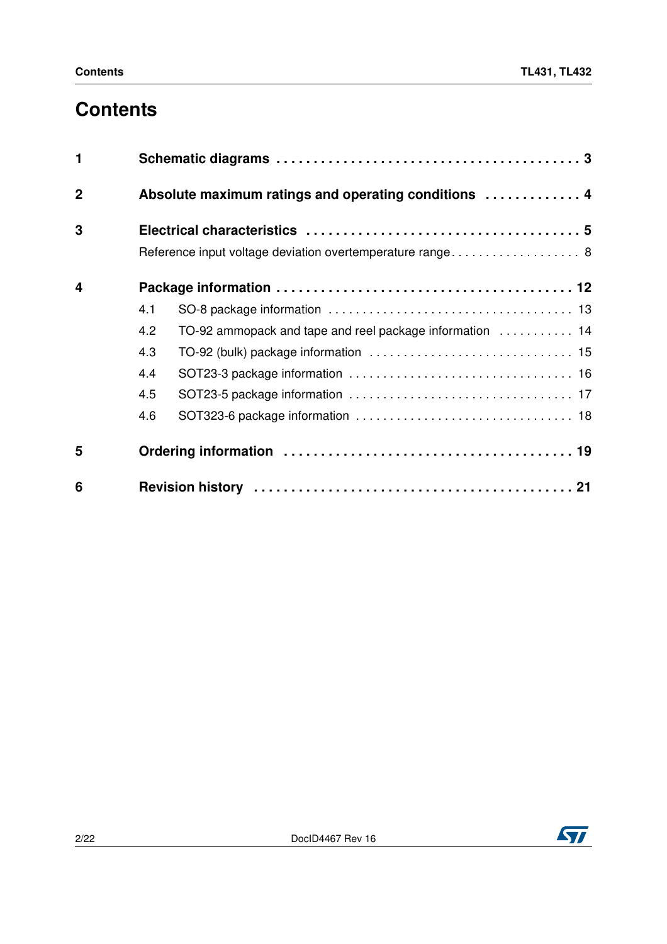## **Contents**

| $\blacksquare$ |     |                                                           |
|----------------|-----|-----------------------------------------------------------|
| $\mathbf 2$    |     | Absolute maximum ratings and operating conditions  4      |
| 3              |     | Reference input voltage deviation overtemperature range 8 |
| 4              |     |                                                           |
|                | 4.1 |                                                           |
|                | 4.2 | TO-92 ammopack and tape and reel package information  14  |
|                | 4.3 |                                                           |
|                | 4.4 |                                                           |
|                | 4.5 |                                                           |
|                | 4.6 |                                                           |
| 5              |     |                                                           |
| 6              |     |                                                           |

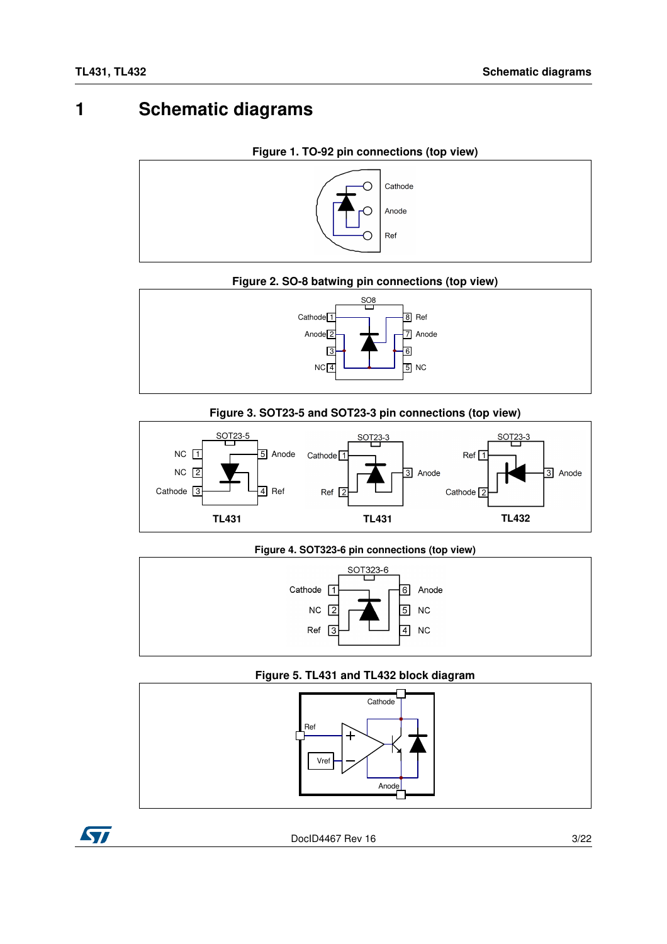### <span id="page-2-0"></span>**1 Schematic diagrams**



### **Figure 2. SO-8 batwing pin connections (top view)**



#### **Figure 3. SOT23-5 and SOT23-3 pin connections (top view)**



#### **Figure 4. SOT323-6 pin connections (top view)**



#### **Figure 5. TL431 and TL432 block diagram**



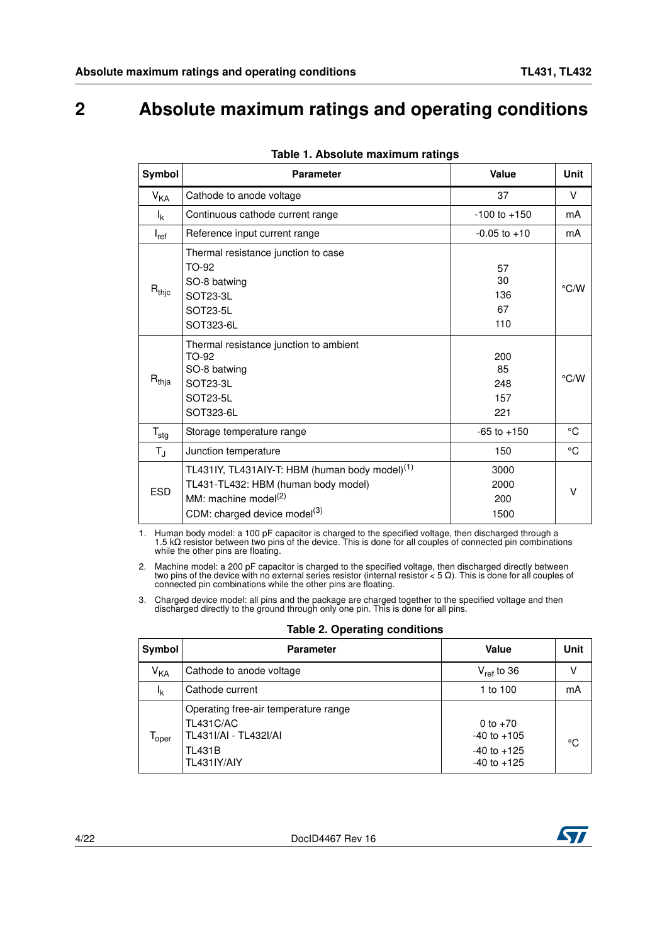### <span id="page-3-0"></span>**2 Absolute maximum ratings and operating conditions**

| Symbol                    | <b>Parameter</b>                                                                                                                                                                  | Value                          | <b>Unit</b>   |
|---------------------------|-----------------------------------------------------------------------------------------------------------------------------------------------------------------------------------|--------------------------------|---------------|
| $V_{KA}$                  | Cathode to anode voltage                                                                                                                                                          | 37                             | V             |
| $I_{k}$                   | Continuous cathode current range                                                                                                                                                  | $-100$ to $+150$               | mA            |
| $I_{ref}$                 | Reference input current range                                                                                                                                                     | $-0.05$ to $+10$               | mA            |
| $R_{thjc}$                | Thermal resistance junction to case<br>TO-92<br>SO-8 batwing<br>SOT23-3L<br>SOT23-5L<br>SOT323-6L                                                                                 | 57<br>30<br>136<br>67<br>110   | $\degree$ C/W |
| $R_{thja}$                | Thermal resistance junction to ambient<br>TO-92<br>SO-8 batwing<br>SOT23-3L<br>SOT23-5L<br>SOT323-6L                                                                              | 200<br>85<br>248<br>157<br>221 | $\degree$ C/W |
| $\mathsf{T}_{\text{stg}}$ | Storage temperature range                                                                                                                                                         | $-65$ to $+150$                | $^{\circ}C$   |
| $T_{\sf J}$               | Junction temperature                                                                                                                                                              | 150                            | °C            |
| <b>ESD</b>                | TL431IY, TL431AIY-T: HBM (human body model) <sup>(1)</sup><br>TL431-TL432: HBM (human body model)<br>MM: machine model <sup>(2)</sup><br>CDM: charged device model <sup>(3)</sup> | 3000<br>2000<br>200<br>1500    | $\vee$        |

|  |  | Table 1. Absolute maximum ratings |  |
|--|--|-----------------------------------|--|
|--|--|-----------------------------------|--|

1. Human body model: a 100 pF capacitor is charged to the specified voltage, then discharged through a 1.5 kΩ resistor between two pins of the device. This is done for all couples of connected pin combinations while the other pins are floating.

2. Machine model: a 200 pF capacitor is charged to the specified voltage, then discharged directly between two pins of the device with no external series resistor (internal resistor < 5 Ω). This is done for all couples o connected pin combinations while the other pins are floating.

3. Charged device model: all pins and the package are charged together to the specified voltage and then discharged directly to the ground through only one pin. This is done for all pins.

| Symbol                       | <b>Parameter</b>                                                                                                  | Value                                                               | Unit |
|------------------------------|-------------------------------------------------------------------------------------------------------------------|---------------------------------------------------------------------|------|
| <b>V<sub>KA</sub></b>        | Cathode to anode voltage                                                                                          | $V_{ref}$ to 36                                                     |      |
| Ιĸ                           | Cathode current                                                                                                   | 1 to 100                                                            | mA   |
| $\mathsf{T}_{\mathsf{oper}}$ | Operating free-air temperature range<br><b>TL431C/AC</b><br>TL431I/AI - TL432I/AI<br><b>TL431B</b><br>TL431IY/AIY | 0 to $+70$<br>$-40$ to $+105$<br>$-40$ to $+125$<br>$-40$ to $+125$ | °C   |

#### **Table 2. Operating conditions**

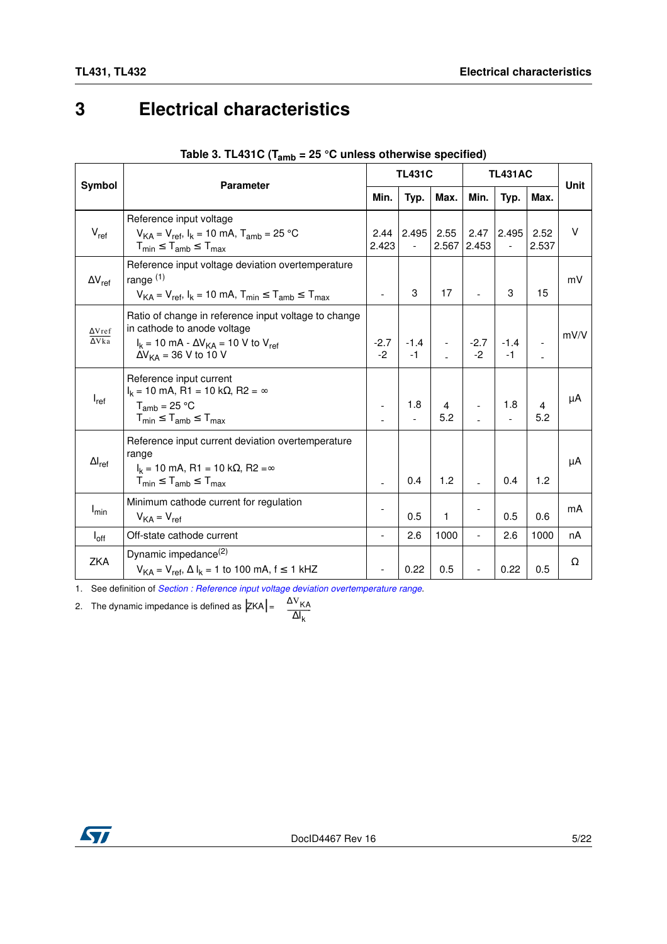## <span id="page-4-0"></span>**3 Electrical characteristics**

|                                           | <b>Parameter</b>                                                                                                                                                                          |                          | <b>TL431C</b>                     |               |                | <b>TL431AC</b> |                       |             |  |
|-------------------------------------------|-------------------------------------------------------------------------------------------------------------------------------------------------------------------------------------------|--------------------------|-----------------------------------|---------------|----------------|----------------|-----------------------|-------------|--|
| Symbol                                    |                                                                                                                                                                                           | Min.                     | Typ.                              | Max.          | Min.           | Typ.           | Max.                  | <b>Unit</b> |  |
| $V_{ref}$                                 | Reference input voltage<br>$V_{KA} = V_{ref}$ , $I_k = 10$ mA, $T_{amb} = 25$ °C<br>$T_{min} \leq T_{amb} \leq T_{max}$                                                                   | 2.44<br>2.423            | 2.495<br>$\overline{\phantom{a}}$ | 2.55<br>2.567 | 2.47<br>2.453  | 2.495          | 2.52<br>2.537         | V           |  |
| $\Delta V_{ref}$                          | Reference input voltage deviation overtemperature<br>range $(1)$<br>$V_{KA} = V_{ref}$ , $I_k = 10$ mA, $T_{min} \leq T_{amb} \leq T_{max}$                                               | $\overline{a}$           | 3                                 | 17            | $\overline{a}$ | 3              | 15                    | mV          |  |
| $\Delta V$ ref<br>$\overline{\Delta Vka}$ | Ratio of change in reference input voltage to change<br>in cathode to anode voltage<br>$I_k = 10 \text{ mA} - \Delta V_{KA} = 10 \text{ V to } V_{ref}$<br>$\Delta V_{KA}$ = 36 V to 10 V | $-2.7$<br>$-2$           | $-1.4$<br>$-1$                    |               | $-2.7$<br>$-2$ | $-1.4$<br>$-1$ |                       | mV/V        |  |
| $I_{ref}$                                 | Reference input current<br>$I_k$ = 10 mA, R1 = 10 k $\Omega$ , R2 = $\infty$<br>$T_{amb}$ = 25 °C<br>$T_{min} \leq T_{amb} \leq T_{max}$                                                  |                          | 1.8                               | 4<br>5.2      |                | 1.8            | $\overline{4}$<br>5.2 | μA          |  |
| $\Delta I_{ref}$                          | Reference input current deviation overtemperature<br>range<br>$I_k$ = 10 mA, R1 = 10 kΩ, R2 = $\infty$<br>$T_{min} \leq T_{amb} \leq T_{max}$                                             |                          | 0.4                               | 1.2           |                | 0.4            | 1.2                   | μA          |  |
| $I_{min}$                                 | Minimum cathode current for regulation<br>$V_{KA} = V_{ref}$                                                                                                                              |                          | 0.5                               | 1             |                | 0.5            | 0.6                   | mA          |  |
| $I_{\rm off}$                             | Off-state cathode current                                                                                                                                                                 | $\overline{\phantom{a}}$ | 2.6                               | 1000          | $\frac{1}{2}$  | 2.6            | 1000                  | nA          |  |
| ZKA                                       | Dynamic impedance <sup>(2)</sup><br>$V_{KA} = V_{ref}$ , $\Delta I_k = 1$ to 100 mA, f $\leq 1$ kHZ                                                                                       | $\overline{\phantom{a}}$ | 0.22                              | 0.5           |                | 0.22           | 0.5                   | Ω           |  |

| Table 3. TL431C ( $T_{amb}$ = 25 °C unless otherwise specified) |  |
|-----------------------------------------------------------------|--|
|-----------------------------------------------------------------|--|

1. See definition of *[Section : Reference input voltage deviation overtemperature range](#page-7-0)*.

2. The dynamic impedance is defined as  $|ZKA| = \frac{\Delta V_{KA}}{}$ 

$$
= \frac{-kA}{\Delta I_k}
$$

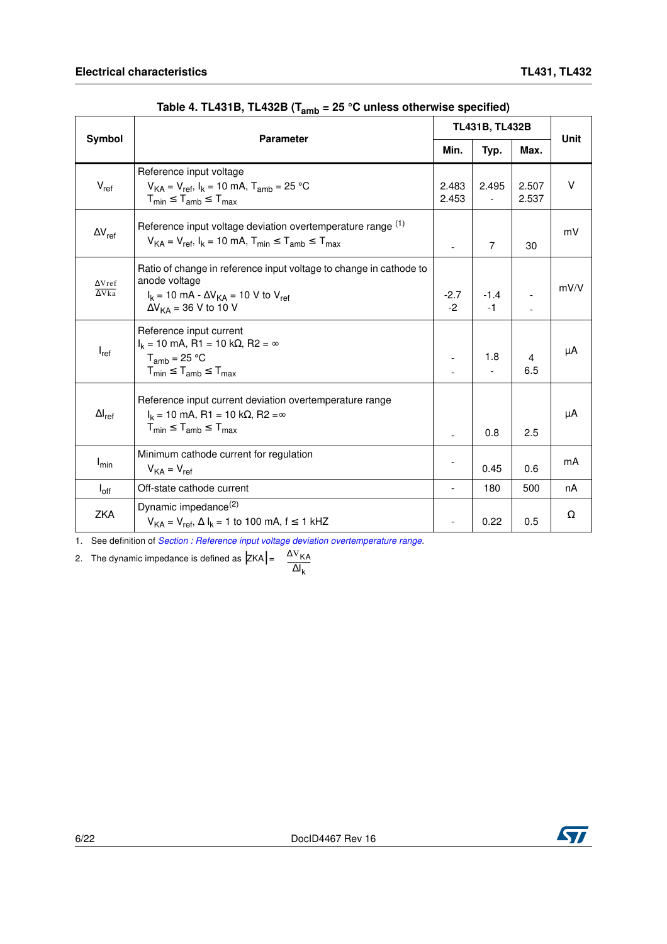|                                | <b>Parameter</b>                                                                                                                                                             | TL431B, TL432B | <b>Unit</b>    |                       |        |  |
|--------------------------------|------------------------------------------------------------------------------------------------------------------------------------------------------------------------------|----------------|----------------|-----------------------|--------|--|
| Symbol                         |                                                                                                                                                                              | Min.           | Typ.           | Max.                  |        |  |
| $V_{ref}$                      | Reference input voltage<br>$V_{KA} = V_{ref}$ , $I_k = 10$ mA, $T_{amb} = 25$ °C<br>$T_{min} \leq T_{amb} \leq T_{max}$                                                      | 2.483<br>2.453 | 2.495          | 2.507<br>2.537        | $\vee$ |  |
| $\Delta V_{ref}$               | Reference input voltage deviation overtemperature range (1)<br>$V_{KA} = V_{ref}$ , $I_k = 10$ mA, $T_{min} \le T_{amb} \le T_{max}$                                         |                | 7              | 30                    | mV     |  |
| $\Delta V$ ref<br>$\Delta Vka$ | Ratio of change in reference input voltage to change in cathode to<br>anode voltage<br>$I_k$ = 10 mA - $\Delta V_{KA}$ = 10 V to $V_{ref}$<br>$\Delta V_{KA}$ = 36 V to 10 V | $-2.7$<br>$-2$ | $-1.4$<br>$-1$ |                       | mV/V   |  |
| $I_{ref}$                      | Reference input current<br>$I_k = 10$ mA, R1 = 10 k $\Omega$ , R2 = $\infty$<br>$T_{amb}$ = 25 °C<br>$T_{min} \leq T_{amb} \leq T_{max}$                                     |                | 1.8            | $\overline{4}$<br>6.5 | μA     |  |
| $\Delta I_{\text{ref}}$        | Reference input current deviation overtemperature range<br>$I_k = 10$ mA, R1 = 10 k $\Omega$ , R2 = $\infty$<br>$T_{min} \leq T_{amb} \leq T_{max}$                          |                | 0.8            | 2.5                   | μA     |  |
| $I_{min}$                      | Minimum cathode current for regulation<br>$V_{KA} = V_{ref}$                                                                                                                 |                | 0.45           | 0.6                   | mA     |  |
| $I_{\text{off}}$               | Off-state cathode current                                                                                                                                                    |                | 180            | 500                   | nA     |  |
| ZKA                            | Dynamic impedance <sup>(2)</sup><br>$V_{KA} = V_{ref}$ , $\Delta I_k = 1$ to 100 mA, f $\leq 1$ kHZ                                                                          |                | 0.22           | 0.5                   | Ω      |  |

**Table 4. TL431B, TL432B (Tamb = 25 °C unless otherwise specified)**

1. See definition of *[Section : Reference input voltage deviation overtemperature range](#page-7-0)*.

2. The dynamic impedance is defined as  $|ZKA| = \frac{\Delta V_{KA}}{}$ 

$$
\overline{\Delta I_k}
$$

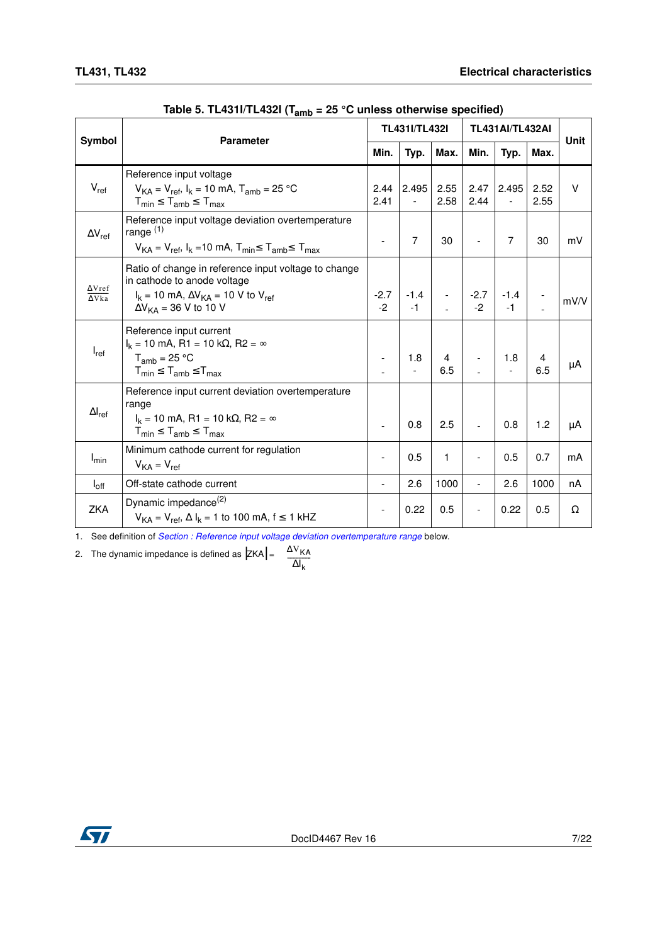|                                | ∙ v∙amo                                                                                                                                                                     |                          | <b>TL431I/TL432I</b>                   |                          | <b>TL431AI/TL432AI</b>   |                |              |        |
|--------------------------------|-----------------------------------------------------------------------------------------------------------------------------------------------------------------------------|--------------------------|----------------------------------------|--------------------------|--------------------------|----------------|--------------|--------|
| Symbol                         | <b>Parameter</b>                                                                                                                                                            | Min.                     | Typ.                                   | Max.                     | Min.                     | Typ.           | Max.         | Unit   |
| $V_{ref}$                      | Reference input voltage<br>$V_{KA} = V_{ref}$ , $I_k = 10$ mA, $T_{amb} = 25$ °C<br>$T_{min} \leq T_{amb} \leq T_{max}$                                                     | 2.41                     | 2.44 2.495<br>$\overline{\phantom{a}}$ | 2.55<br>2.58             | 2.47<br>2.44             | 2.495          | 2.52<br>2.55 | $\vee$ |
| $\Delta V_{ref}$               | Reference input voltage deviation overtemperature<br>range $(1)$<br>$V_{KA} = V_{ref}$ , $I_k = 10$ mA, $T_{min} \le T_{amb} \le T_{max}$                                   | $\overline{\phantom{a}}$ | $\overline{7}$                         | 30                       |                          | 7              | 30           | mV     |
| $\Delta V$ ref<br>$\Delta$ Vka | Ratio of change in reference input voltage to change<br>in cathode to anode voltage<br>$I_k$ = 10 mA, $\Delta V_{KA}$ = 10 V to $V_{ref}$<br>$\Delta V_{KA}$ = 36 V to 10 V | $-2.7$  <br>$-2$         | $-1.4$<br>$-1$                         | $\overline{\phantom{a}}$ | $-2.7$<br>$-2$           | $-1.4$<br>$-1$ |              | mV/V   |
| $I_{ref}$                      | Reference input current<br>$I_k$ = 10 mA, R1 = 10 k $\Omega$ , R2 = $\infty$<br>$T_{amb}$ = 25 °C<br>$T_{min} \leq T_{amb} \leq T_{max}$                                    | $\overline{\phantom{a}}$ | 1.8                                    | 4<br>6.5                 |                          | 1.8            | 4<br>6.5     | μA     |
| $\Delta I_{\sf ref}$           | Reference input current deviation overtemperature<br>range<br>$I_k = 10$ mA, R1 = 10 k $\Omega$ , R2 = $\infty$<br>$T_{min} \leq T_{amb} \leq T_{max}$                      | $\overline{\phantom{a}}$ | 0.8                                    | 2.5                      | $\blacksquare$           | 0.8            | 1.2          | μA     |
| $I_{min}$                      | Minimum cathode current for regulation<br>$V_{KA} = V_{ref}$                                                                                                                | $\overline{\phantom{a}}$ | 0.5                                    | 1                        |                          | 0.5            | 0.7          | mA     |
| $I_{\text{off}}$               | Off-state cathode current                                                                                                                                                   |                          | 2.6                                    | 1000                     | $\overline{a}$           | 2.6            | 1000         | nA     |
| ZKA                            | Dynamic impedance <sup>(2)</sup><br>$V_{KA} = V_{ref}$ , $\Delta I_k = 1$ to 100 mA, f $\leq 1$ kHZ                                                                         |                          | 0.22                                   | 0.5                      | $\overline{\phantom{0}}$ | 0.22           | 0.5          | Ω      |

**Table 5. TL431I/TL432I (Tamb = 25 °C unless otherwise specified)**

1. See definition of *[Section : Reference input voltage deviation overtemperature range](#page-7-0)* below.

2. The dynamic impedance is defined as  $|ZKA| = \frac{\Delta V_{KA}}{}$ 

$$
\frac{-\kappa_A}{\Delta I_k}
$$

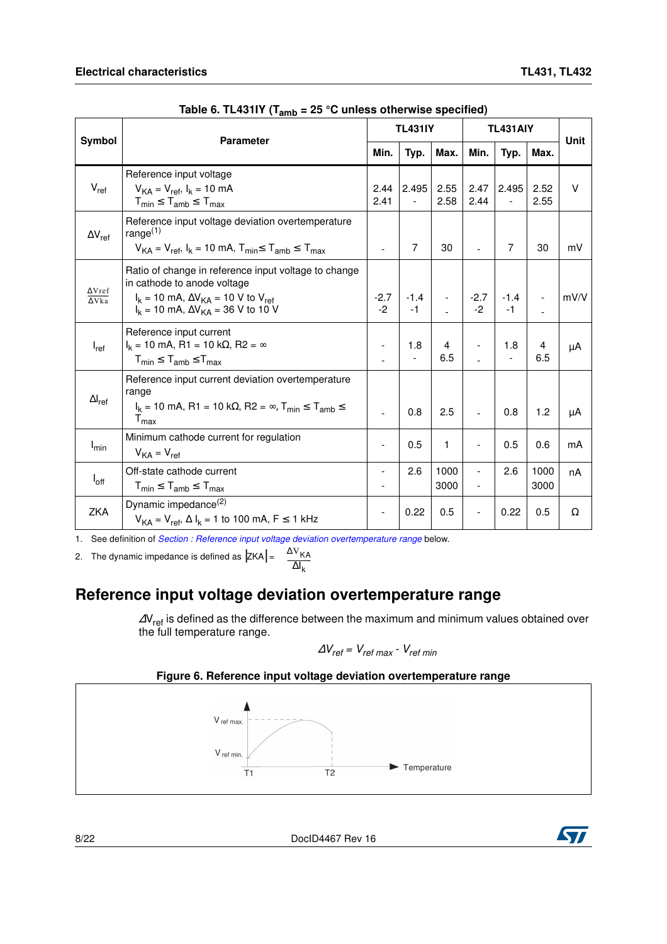| Symbol                                     | <b>Parameter</b>                                                                                                                                                                           |                | <b>TL431IY</b>                                                             |              | <b>TL431AIY</b>      | <b>Unit</b>    |              |        |  |
|--------------------------------------------|--------------------------------------------------------------------------------------------------------------------------------------------------------------------------------------------|----------------|----------------------------------------------------------------------------|--------------|----------------------|----------------|--------------|--------|--|
|                                            |                                                                                                                                                                                            | Min.           | Typ.                                                                       | Max.         | Min.                 | Typ.           | Max.         |        |  |
| $V_{ref}$                                  | Reference input voltage<br>$V_{KA} = V_{ref}$ , $I_k = 10$ mA<br>$T_{min} \leq T_{amb} \leq T_{max}$                                                                                       | 2.44<br>2.41   | 2.495<br>$\overline{\phantom{a}}$                                          | 2.55<br>2.58 | 2.47<br>2.44         | 2.495          | 2.52<br>2.55 | $\vee$ |  |
| $\Delta V_{ref}$                           | Reference input voltage deviation overtemperature<br>range $(1)$<br>$V_{KA} = V_{ref}$ , $I_k = 10$ mA, $T_{min} \le T_{amb} \le T_{max}$                                                  | $\blacksquare$ | $\overline{7}$                                                             | 30           | $\overline{a}$       | 7              | 30           | mV     |  |
| $\Delta V$ ref<br>$\overline{\Delta V}$ ka | Ratio of change in reference input voltage to change<br>in cathode to anode voltage<br>$I_k$ = 10 mA, $\Delta V_{KA}$ = 10 V to $V_{ref}$<br>$I_k = 10$ mA, $\Delta V_{KA} = 36$ V to 10 V |                | $\begin{array}{ c c c c c }\n -2.7 & -1.4 \\ \hline\n-2 & -1\n\end{array}$ |              | $\vert$ -2.7<br>$-2$ | $-1.4$<br>$-1$ |              | mV/V   |  |
| $I_{ref}$                                  | Reference input current<br>$I_k = 10$ mA, R1 = 10 k $\Omega$ , R2 = $\infty$<br>$T_{min} \leq T_{amb} \leq T_{max}$                                                                        |                | 1.8                                                                        | 4<br>6.5     |                      | 1.8            | 4<br>6.5     | μA     |  |
| $\Delta I_{\text{ref}}$                    | Reference input current deviation overtemperature<br>range<br>$I_k$ = 10 mA, R1 = 10 k $\Omega$ , R2 = $\infty$ , T <sub>min</sub> $\leq T_{amb} \leq$<br>$T_{\text{max}}$                 |                | 0.8                                                                        | 2.5          | $\overline{a}$       | 0.8            | 1.2          | μA     |  |
| $I_{min}$                                  | Minimum cathode current for regulation<br>$V_{KA} = V_{ref}$                                                                                                                               | $\overline{a}$ | 0.5                                                                        | 1            |                      | 0.5            | 0.6          | mA     |  |
| $I_{\text{off}}$                           | Off-state cathode current<br>$T_{min} \leq T_{amb} \leq T_{max}$                                                                                                                           |                | 2.6                                                                        | 1000<br>3000 |                      | 2.6            | 1000<br>3000 | nA     |  |
| ZKA                                        | Dynamic impedance <sup>(2)</sup><br>$V_{KA} = V_{ref}$ , $\Delta I_k = 1$ to 100 mA, F $\leq$ 1 kHz                                                                                        |                | 0.22                                                                       | 0.5          |                      | 0.22           | 0.5          | Ω      |  |

**Table 6. TL431IY (Tamb = 25 °C unless otherwise specified)**

1. See definition of *[Section : Reference input voltage deviation overtemperature range](#page-7-0)* below.

2. The dynamic impedance is defined as  $|ZKA|$  $\frac{\Delta V_{KA}}{V_{A}}$ 

$$
A = \frac{R}{\Delta l_k}
$$

#### <span id="page-7-0"></span>**Reference input voltage deviation overtemperature range**

 $\Delta V_{ref}$  is defined as the difference between the maximum and minimum values obtained over the full temperature range.

$$
\Delta V_{\text{ref}} = V_{\text{ref max}} - V_{\text{ref min}}
$$

**Figure 6. Reference input voltage deviation overtemperature range**



8/22 DocID4467 Rev 16

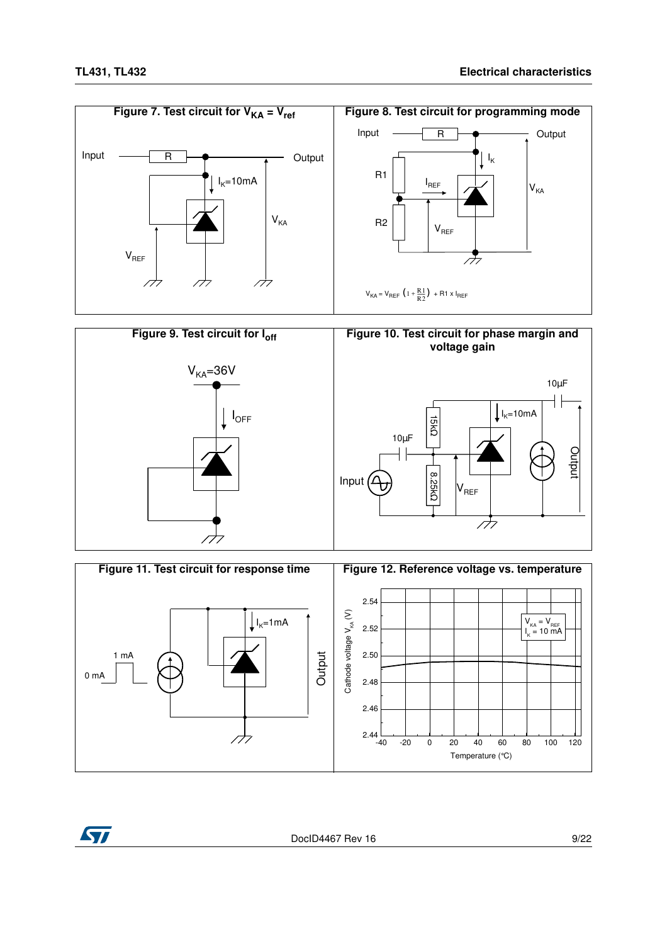







DocID4467 Rev 16 9/22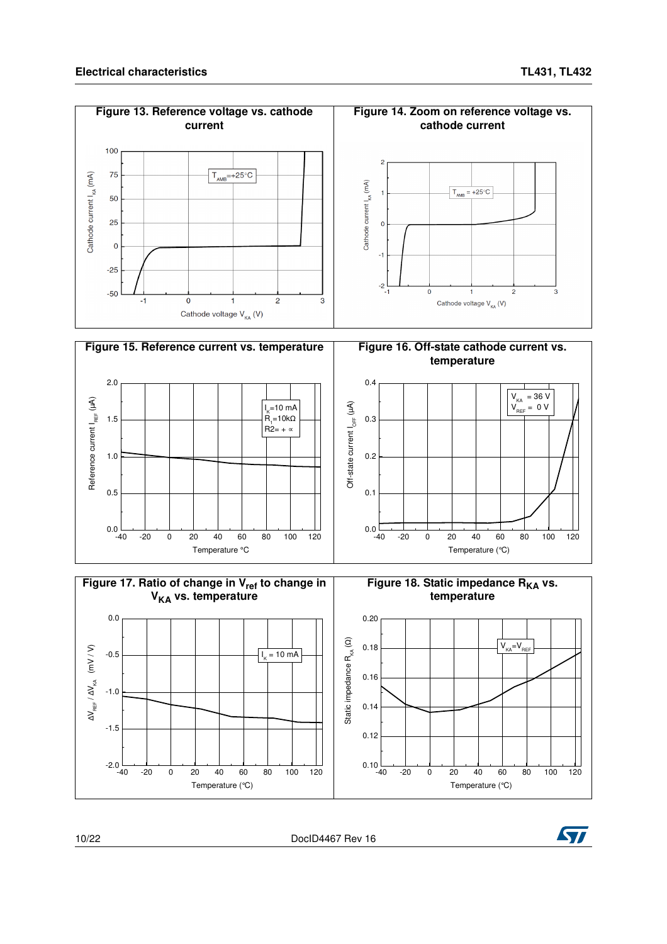$\overline{2}$ 









10/22 DocID4467 Rev 16

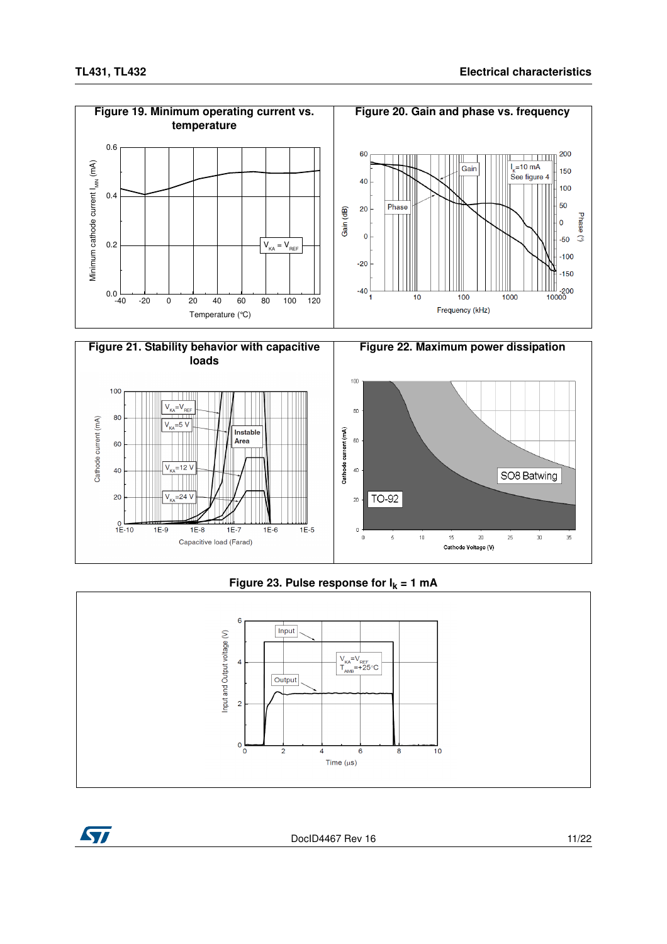

#### **Figure 23. Pulse response for I<sup>k</sup> = 1 mA**





DocID4467 Rev 16 11/22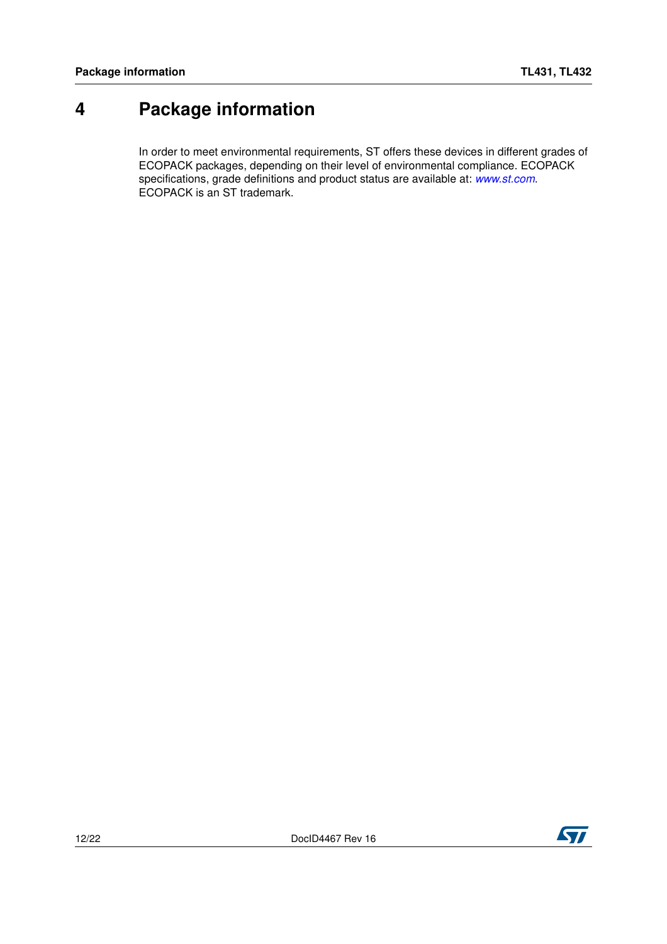### <span id="page-11-0"></span>**4 Package information**

In order to meet environmental requirements, ST offers these devices in different grades of ECOPACK packages, depending on their level of environmental compliance. ECOPACK specifications, grade definitions and product status are available at: *[www.st.com](http://www.st.com)*. ECOPACK is an ST trademark.

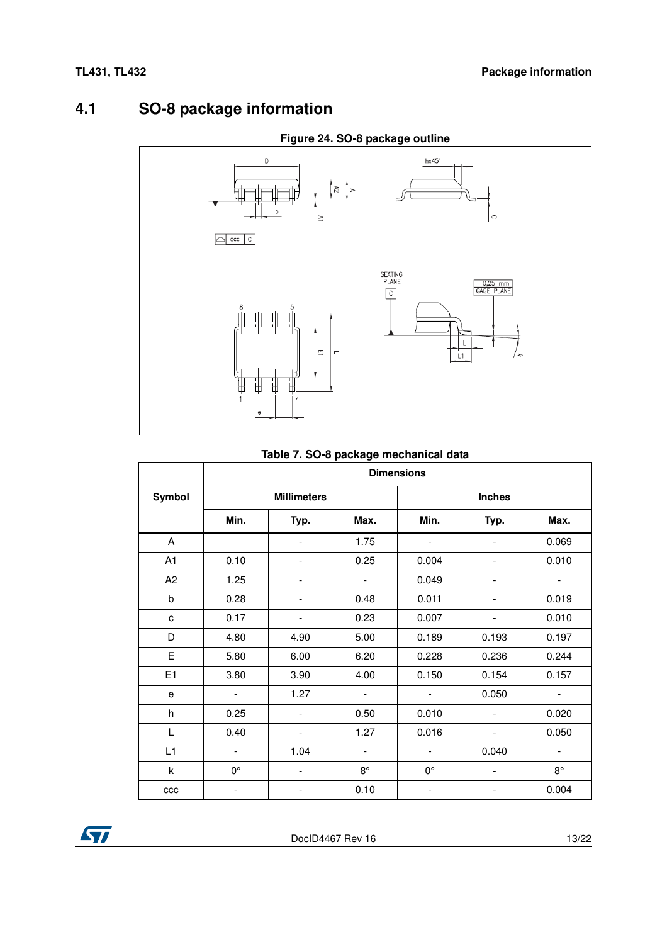### <span id="page-12-0"></span>**4.1 SO-8 package information**



#### **Figure 24. SO-8 package outline**

#### **Table 7. SO-8 package mechanical data**

| rable 1. 50-6 package mechanical data |                          |                          |                          |                          |                          |                          |  |  |  |  |
|---------------------------------------|--------------------------|--------------------------|--------------------------|--------------------------|--------------------------|--------------------------|--|--|--|--|
|                                       | <b>Dimensions</b>        |                          |                          |                          |                          |                          |  |  |  |  |
| Symbol                                |                          | <b>Millimeters</b>       |                          | <b>Inches</b>            |                          |                          |  |  |  |  |
|                                       | Min.                     | Typ.                     | Max.                     | Min.                     | Typ.                     | Max.                     |  |  |  |  |
| A                                     |                          | $\overline{\phantom{a}}$ | 1.75                     | $\overline{\phantom{a}}$ | $\overline{\phantom{a}}$ | 0.069                    |  |  |  |  |
| A1                                    | 0.10                     |                          | 0.25                     | 0.004                    | $\overline{\phantom{a}}$ | 0.010                    |  |  |  |  |
| A <sub>2</sub>                        | 1.25                     | $\overline{\phantom{a}}$ | $\overline{\phantom{0}}$ | 0.049                    | $\overline{\phantom{a}}$ | -                        |  |  |  |  |
| $\sf b$                               | 0.28                     |                          | 0.48                     | 0.011                    |                          | 0.019                    |  |  |  |  |
| c                                     | 0.17                     |                          | 0.23                     | 0.007                    |                          | 0.010                    |  |  |  |  |
| D                                     | 4.80                     | 4.90                     | 5.00                     | 0.189                    | 0.193                    | 0.197                    |  |  |  |  |
| E                                     | 5.80                     | 6.00                     | 6.20                     | 0.228                    | 0.236                    | 0.244                    |  |  |  |  |
| E1                                    | 3.80                     | 3.90                     | 4.00                     | 0.150                    | 0.154                    | 0.157                    |  |  |  |  |
| e                                     | $\blacksquare$           | 1.27                     | $\overline{\phantom{a}}$ | $\overline{\phantom{a}}$ | 0.050                    | $\overline{\phantom{a}}$ |  |  |  |  |
| h                                     | 0.25                     | $\overline{\phantom{a}}$ | 0.50                     | 0.010                    | $\blacksquare$           | 0.020                    |  |  |  |  |
| L                                     | 0.40                     | $\overline{\phantom{a}}$ | 1.27                     | 0.016                    | $\overline{\phantom{a}}$ | 0.050                    |  |  |  |  |
| L1                                    | $\overline{\phantom{a}}$ | 1.04                     | $\overline{\phantom{a}}$ | $\overline{\phantom{a}}$ | 0.040                    | $\overline{\phantom{a}}$ |  |  |  |  |
| k                                     | 0°                       | $\overline{\phantom{a}}$ | $8^{\circ}$              | 0°                       | $\overline{\phantom{a}}$ | $8^{\circ}$              |  |  |  |  |
| ccc                                   |                          |                          | 0.10                     |                          |                          | 0.004                    |  |  |  |  |

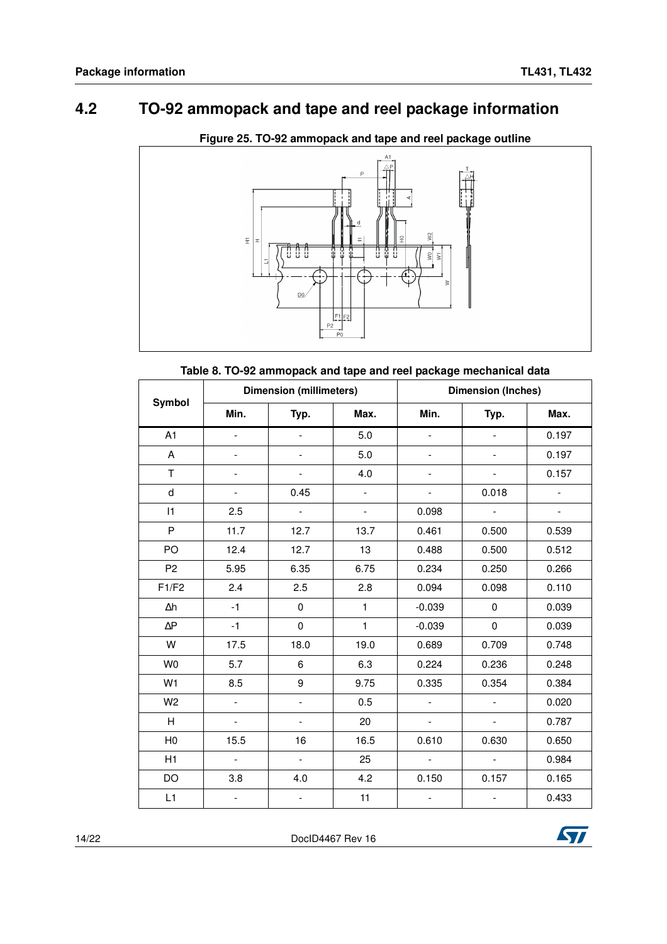### <span id="page-13-0"></span>**4.2 TO-92 ammopack and tape and reel package information**



**Figure 25. TO-92 ammopack and tape and reel package outline**

**Table 8. TO-92 ammopack and tape and reel package mechanical data**

| Symbol         |                             | <b>Dimension (millimeters)</b> |                          | <b>Dimension (Inches)</b> |                          |                          |  |
|----------------|-----------------------------|--------------------------------|--------------------------|---------------------------|--------------------------|--------------------------|--|
|                | Min.                        | Typ.                           | Max.                     | Min.                      | Typ.                     | Max.                     |  |
| A <sub>1</sub> | $\overline{a}$              | $\frac{1}{2}$                  | 5.0                      | $\overline{a}$            | $\overline{\phantom{a}}$ | 0.197                    |  |
| A              |                             | $\overline{a}$                 | 5.0                      |                           |                          | 0.197                    |  |
| T              | $\overline{\phantom{0}}$    | $\overline{\phantom{0}}$       | 4.0                      |                           | $\overline{\phantom{a}}$ | 0.157                    |  |
| $\sf d$        | $\overline{\phantom{a}}$    | 0.45                           | $\overline{\phantom{a}}$ | $\overline{a}$            | 0.018                    | $\overline{\phantom{a}}$ |  |
| 1              | 2.5                         | $\mathbb{L}^{\mathbb{N}}$      | $\overline{\phantom{a}}$ | 0.098                     |                          | $\frac{1}{2}$            |  |
| P              | 11.7                        | 12.7                           | 13.7                     | 0.461                     | 0.500                    | 0.539                    |  |
| PO             | 12.4                        | 12.7                           | 13                       | 0.488                     | 0.500                    | 0.512                    |  |
| P <sub>2</sub> | 5.95                        | 6.35                           | 6.75                     | 0.234                     | 0.250                    | 0.266                    |  |
| F1/F2          | 2.4                         | 2.5                            | 2.8                      | 0.094                     | 0.098                    | 0.110                    |  |
| $\Delta h$     | $-1$                        | 0                              | 1                        | $-0.039$                  | $\mathbf 0$              | 0.039                    |  |
| $\Delta P$     | $-1$                        | $\mathbf 0$                    | $\mathbf{1}$             | $-0.039$                  | $\pmb{0}$                | 0.039                    |  |
| W              | 17.5                        | 18.0                           | 19.0                     | 0.689                     | 0.709                    | 0.748                    |  |
| W <sub>0</sub> | 5.7                         | 6                              | 6.3                      | 0.224                     | 0.236                    | 0.248                    |  |
| W <sub>1</sub> | 8.5                         | 9                              | 9.75                     | 0.335                     | 0.354                    | 0.384                    |  |
| W <sub>2</sub> | $\overline{a}$              | $\frac{1}{2}$                  | 0.5                      | $\frac{1}{2}$             | $\omega$                 | 0.020                    |  |
| H              | $\mathcal{L}_{\mathcal{A}}$ | $\qquad \qquad -$              | 20                       | $\blacksquare$            | $\overline{\phantom{a}}$ | 0.787                    |  |
| H <sub>0</sub> | 15.5                        | 16                             | 16.5                     | 0.610                     | 0.630                    | 0.650                    |  |
| H1             | $\mathbb{L}$                | $\overline{\phantom{a}}$       | 25                       | $\overline{\phantom{a}}$  | $\equiv$                 | 0.984                    |  |
| DO             | 3.8                         | 4.0                            | 4.2                      | 0.150                     | 0.157                    | 0.165                    |  |
| L1             |                             | L,                             | 11                       |                           |                          | 0.433                    |  |

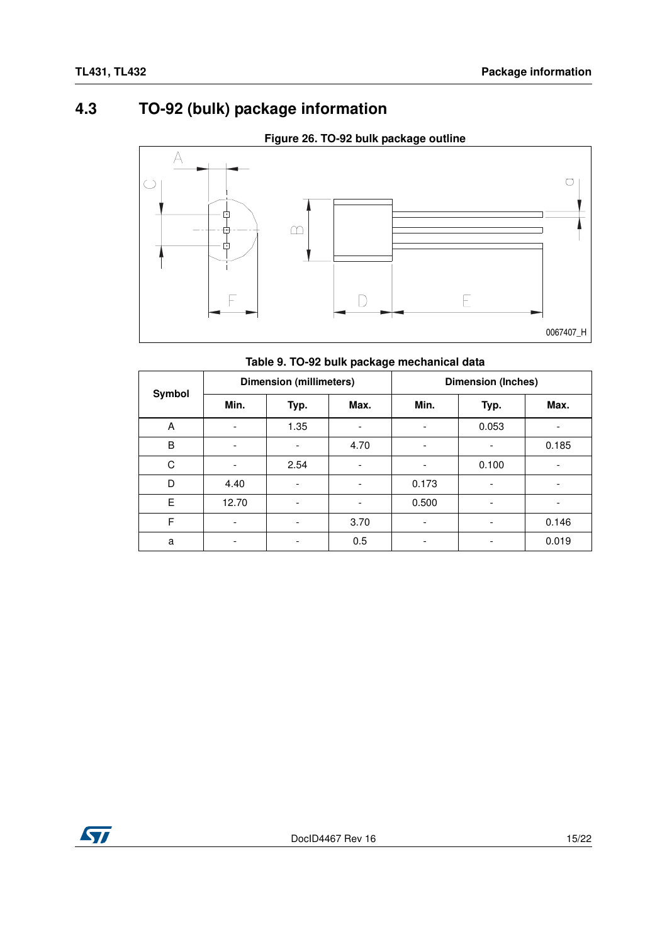### <span id="page-14-0"></span>**4.3 TO-92 (bulk) package information**



**Figure 26. TO-92 bulk package outline**

#### **Table 9. TO-92 bulk package mechanical data**

| Symbol | <b>Dimension (millimeters)</b> |      |                          | <b>Dimension (Inches)</b> |                          |       |
|--------|--------------------------------|------|--------------------------|---------------------------|--------------------------|-------|
|        | Min.                           | Typ. | Max.                     | Min.                      | Typ.                     | Max.  |
| Α      |                                | 1.35 | $\overline{\phantom{a}}$ |                           | 0.053                    |       |
| B      |                                |      | 4.70                     |                           | $\overline{\phantom{a}}$ | 0.185 |
| C      |                                | 2.54 | $\overline{\phantom{a}}$ |                           | 0.100                    |       |
| D      | 4.40                           |      | $\overline{\phantom{a}}$ | 0.173                     |                          |       |
| E      | 12.70                          |      | $\overline{\phantom{a}}$ | 0.500                     |                          |       |
| F      | $\overline{\phantom{a}}$       |      | 3.70                     | ٠                         |                          | 0.146 |
| a      |                                |      | 0.5                      |                           |                          | 0.019 |

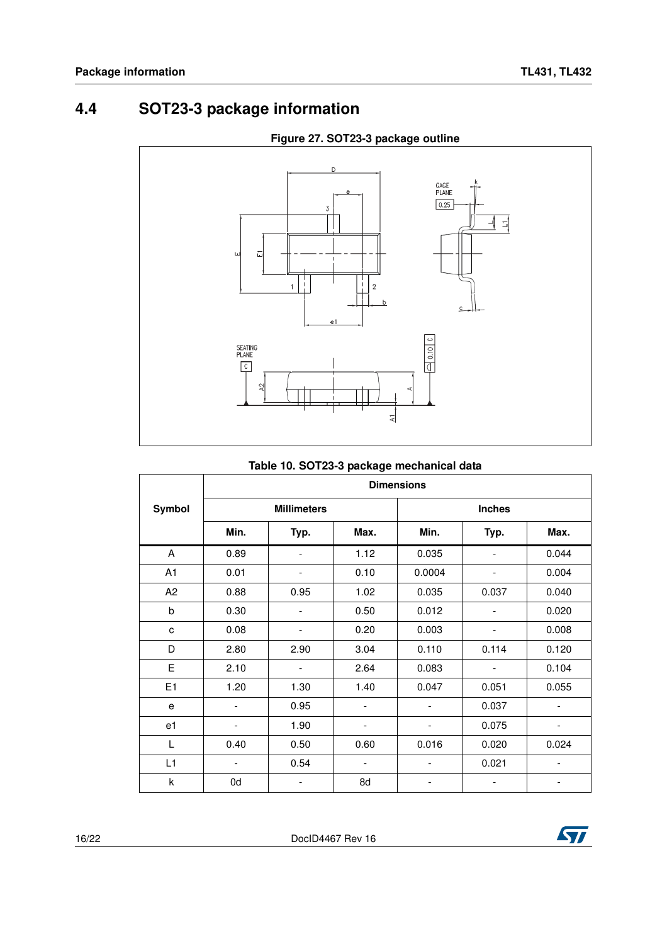### <span id="page-15-0"></span>**4.4 SOT23-3 package information**



#### **Figure 27. SOT23-3 package outline**

|  | Table 10. SOT23-3 package mechanical data |
|--|-------------------------------------------|
|--|-------------------------------------------|

|                | <b>Dimensions</b>        |                          |                          |                          |                          |                          |  |
|----------------|--------------------------|--------------------------|--------------------------|--------------------------|--------------------------|--------------------------|--|
| Symbol         |                          | <b>Millimeters</b>       |                          | <b>Inches</b>            |                          |                          |  |
|                | Min.                     | Typ.                     | Max.                     | Min.                     | Typ.                     | Max.                     |  |
| A              | 0.89                     |                          | 1.12                     | 0.035                    |                          | 0.044                    |  |
| A1             | 0.01                     | $\overline{\phantom{0}}$ | 0.10                     | 0.0004                   | $\overline{\phantom{a}}$ | 0.004                    |  |
| A <sub>2</sub> | 0.88                     | 0.95                     | 1.02                     | 0.035                    | 0.037                    | 0.040                    |  |
| b              | 0.30                     |                          | 0.50                     | 0.012                    |                          | 0.020                    |  |
| c              | 0.08                     |                          | 0.20                     | 0.003                    | $\overline{\phantom{a}}$ | 0.008                    |  |
| D              | 2.80                     | 2.90                     | 3.04                     | 0.110                    | 0.114                    | 0.120                    |  |
| E              | 2.10                     |                          | 2.64                     | 0.083                    |                          | 0.104                    |  |
| E1             | 1.20                     | 1.30                     | 1.40                     | 0.047                    | 0.051                    | 0.055                    |  |
| e              | $\overline{\phantom{a}}$ | 0.95                     | $\overline{\phantom{0}}$ | $\overline{\phantom{a}}$ | 0.037                    | $\overline{\phantom{a}}$ |  |
| e1             | $\overline{\phantom{a}}$ | 1.90                     | -                        | -                        | 0.075                    | $\overline{\phantom{a}}$ |  |
| L              | 0.40                     | 0.50                     | 0.60                     | 0.016                    | 0.020                    | 0.024                    |  |
| L1             | -                        | 0.54                     | $\overline{\phantom{a}}$ |                          | 0.021                    | ٠                        |  |
| k              | 0d                       |                          | 8d                       |                          |                          |                          |  |

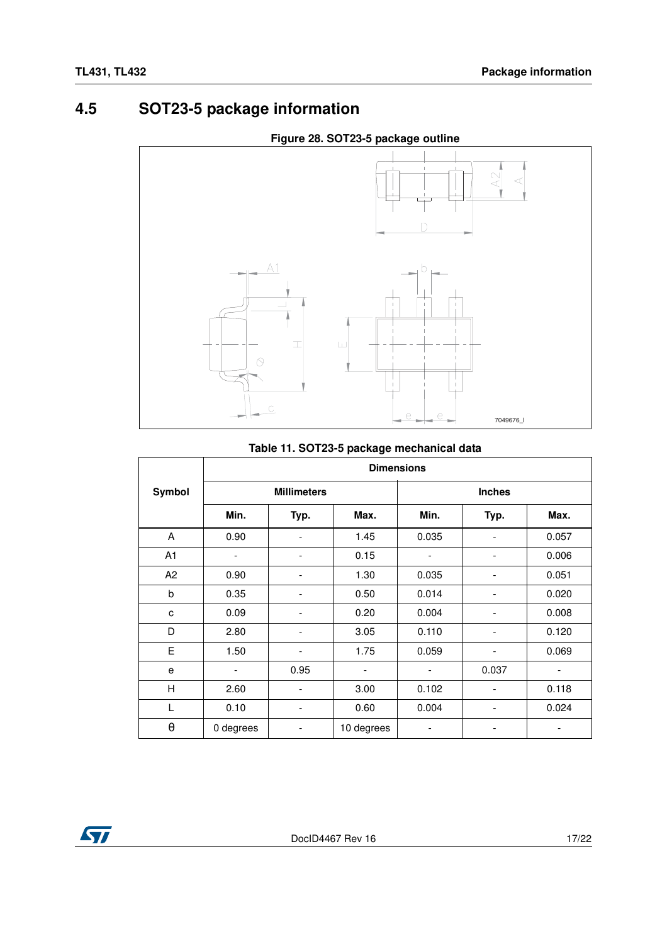### <span id="page-16-0"></span>**4.5 SOT23-5 package information**





#### **Table 11. SOT23-5 package mechanical data**

|                       | <b>Dimensions</b>        |                          |            |                          |                          |       |
|-----------------------|--------------------------|--------------------------|------------|--------------------------|--------------------------|-------|
| Symbol                |                          | <b>Millimeters</b>       |            |                          | <b>Inches</b>            |       |
|                       | Min.                     | Typ.                     | Max.       | Min.                     | Typ.                     | Max.  |
| A                     | 0.90                     |                          | 1.45       | 0.035                    |                          | 0.057 |
| A <sub>1</sub>        | $\overline{\phantom{a}}$ | $\overline{\phantom{a}}$ | 0.15       | $\overline{\phantom{m}}$ | $\overline{\phantom{a}}$ | 0.006 |
| A2                    | 0.90                     | $\overline{\phantom{a}}$ | 1.30       | 0.035                    |                          | 0.051 |
| b                     | 0.35                     | $\overline{\phantom{a}}$ | 0.50       | 0.014                    | $\overline{\phantom{a}}$ | 0.020 |
| C                     | 0.09                     | ٠                        | 0.20       | 0.004                    |                          | 0.008 |
| D                     | 2.80                     | $\overline{\phantom{a}}$ | 3.05       | 0.110                    | -                        | 0.120 |
| E                     | 1.50                     | $\overline{\phantom{a}}$ | 1.75       | 0.059                    |                          | 0.069 |
| e                     |                          | 0.95                     |            |                          | 0.037                    |       |
| Н                     | 2.60                     | $\overline{\phantom{a}}$ | 3.00       | 0.102                    | $\overline{\phantom{a}}$ | 0.118 |
| L                     | 0.10                     |                          | 0.60       | 0.004                    |                          | 0.024 |
| $\boldsymbol{\theta}$ | 0 degrees                |                          | 10 degrees |                          |                          |       |

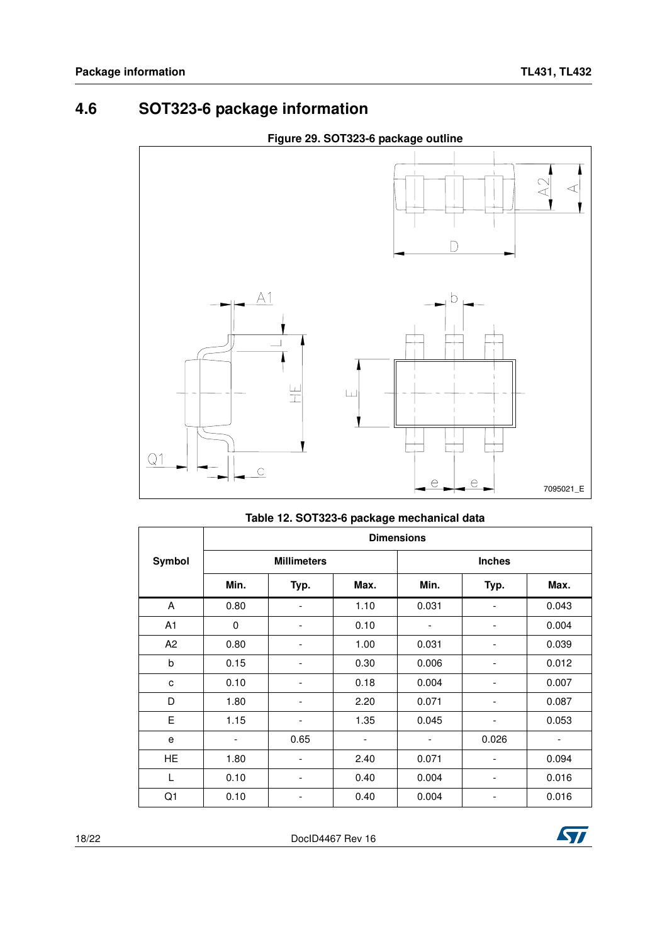### <span id="page-17-0"></span>**4.6 SOT323-6 package information**



|                | <b>Dimensions</b>        |                          |                          |                          |       |       |  |  |
|----------------|--------------------------|--------------------------|--------------------------|--------------------------|-------|-------|--|--|
| Symbol         |                          | <b>Millimeters</b>       |                          | <b>Inches</b>            |       |       |  |  |
|                | Min.                     | Typ.                     | Max.                     | Min.                     | Typ.  | Max.  |  |  |
| A              | 0.80                     | $\overline{\phantom{0}}$ | 1.10                     | 0.031                    |       | 0.043 |  |  |
| A <sub>1</sub> | 0                        | -                        | 0.10                     |                          | -     | 0.004 |  |  |
| A <sub>2</sub> | 0.80                     | -                        | 1.00                     | 0.031                    | -     | 0.039 |  |  |
| b              | 0.15                     | -                        | 0.30                     | 0.006                    |       | 0.012 |  |  |
| c              | 0.10                     | -                        | 0.18                     | 0.004                    | -     | 0.007 |  |  |
| D              | 1.80                     | -                        | 2.20                     | 0.071                    |       | 0.087 |  |  |
| E              | 1.15                     | -                        | 1.35                     | 0.045                    |       | 0.053 |  |  |
| е              | $\overline{\phantom{a}}$ | 0.65                     | $\overline{\phantom{a}}$ | $\overline{\phantom{0}}$ | 0.026 | ٠     |  |  |
|                |                          |                          |                          |                          |       |       |  |  |

HE 1.80 - 2.40 0.071 - 0.094 L | 0.10 | - | 0.40 | 0.004 | - | 0.016 Q1 | 0.10 | - | 0.40 | 0.004 | - | 0.016

#### **Table 12. SOT323-6 package mechanical data**

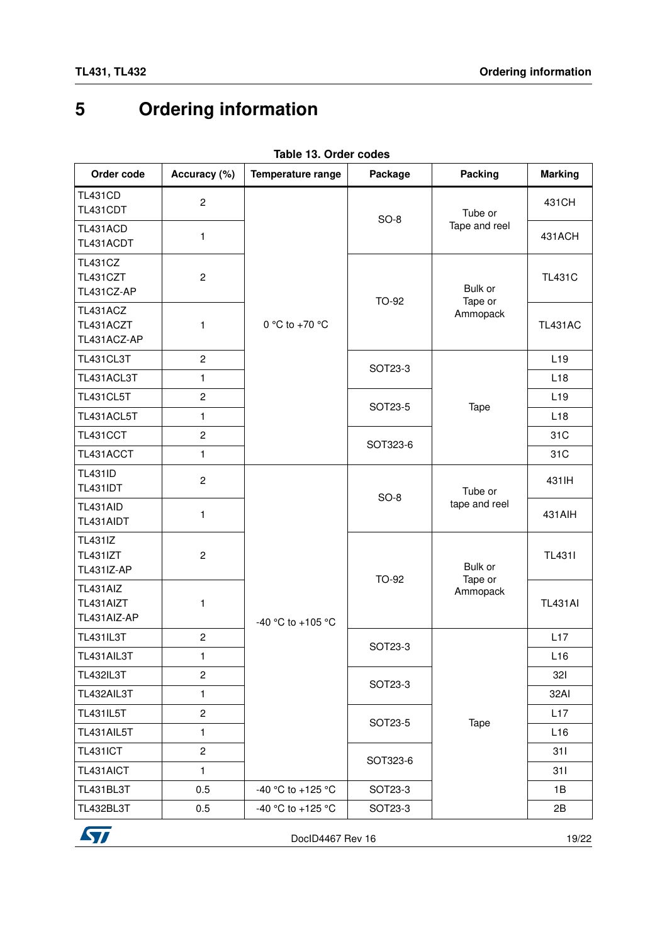# <span id="page-18-0"></span>**5 Ordering information**

<span id="page-18-1"></span>

| Order code                                             | Accuracy (%)            | Temperature range | Package  | Packing                        | <b>Marking</b>  |
|--------------------------------------------------------|-------------------------|-------------------|----------|--------------------------------|-----------------|
| <b>TL431CD</b><br>TL431CDT                             | $\mathbf{2}$            |                   | $SO-8$   | Tube or                        | 431CH           |
| TL431ACD<br>TL431ACDT                                  | 1                       |                   |          | Tape and reel                  | 431ACH          |
| <b>TL431CZ</b><br>TL431CZT<br>TL431CZ-AP               | $\overline{c}$          |                   | TO-92    | Bulk or<br>Tape or<br>Ammopack | <b>TL431C</b>   |
| TL431ACZ<br>TL431ACZT<br>TL431ACZ-AP                   | 1                       | 0 °C to +70 °C    |          |                                | <b>TL431AC</b>  |
| TL431CL3T                                              | $\overline{2}$          |                   | SOT23-3  |                                | L <sub>19</sub> |
| TL431ACL3T                                             | 1                       |                   |          |                                | L <sub>18</sub> |
| <b>TL431CL5T</b>                                       | $\overline{c}$          |                   | SOT23-5  | Tape                           | L <sub>19</sub> |
| TL431ACL5T                                             | 1                       |                   |          |                                | L <sub>18</sub> |
| TL431CCT                                               | $\overline{c}$          |                   | SOT323-6 |                                | 31C             |
| TL431ACCT                                              | 1                       |                   |          |                                | 31C             |
| <b>TL431ID</b><br><b>TL431IDT</b>                      | $\overline{c}$          | -40 °C to +105 °C |          | Tube or                        | 431 IH          |
| TL431AID<br>TL431AIDT                                  | 1                       |                   | $SO-8$   | tape and reel                  | 431AIH          |
| <b>TL431IZ</b><br><b>TL431IZT</b><br><b>TL431IZ-AP</b> | $\overline{2}$          |                   |          | Bulk or                        | <b>TL4311</b>   |
| TL431AIZ<br>TL431AIZT<br>TL431AIZ-AP                   | 1                       |                   | TO-92    | Tape or<br>Ammopack            | <b>TL431AI</b>  |
| <b>TL431IL3T</b>                                       | $\overline{c}$          |                   | SOT23-3  |                                | L17             |
| TL431AIL3T                                             | 1                       |                   |          |                                | L16             |
| <b>TL432IL3T</b>                                       | $\overline{c}$          |                   |          |                                | 321             |
| TL432AIL3T                                             | 1                       |                   | SOT23-3  |                                | 32AI            |
| <b>TL431IL5T</b>                                       | $\overline{\mathbf{c}}$ |                   | SOT23-5  | Tape                           | L17             |
| TL431AIL5T                                             | 1                       |                   |          |                                | L16             |
| <b>TL431ICT</b>                                        | $\overline{c}$          |                   | SOT323-6 |                                | 311             |
| TL431AICT                                              | $\mathbf{1}$            |                   |          |                                | 311             |
| TL431BL3T                                              | 0.5                     | -40 °C to +125 °C | SOT23-3  |                                | 1B              |
| TL432BL3T                                              | 0.5                     | -40 °C to +125 °C | SOT23-3  |                                | 2B              |

**Table 13. Order codes**



DocID4467 Rev 16 19/22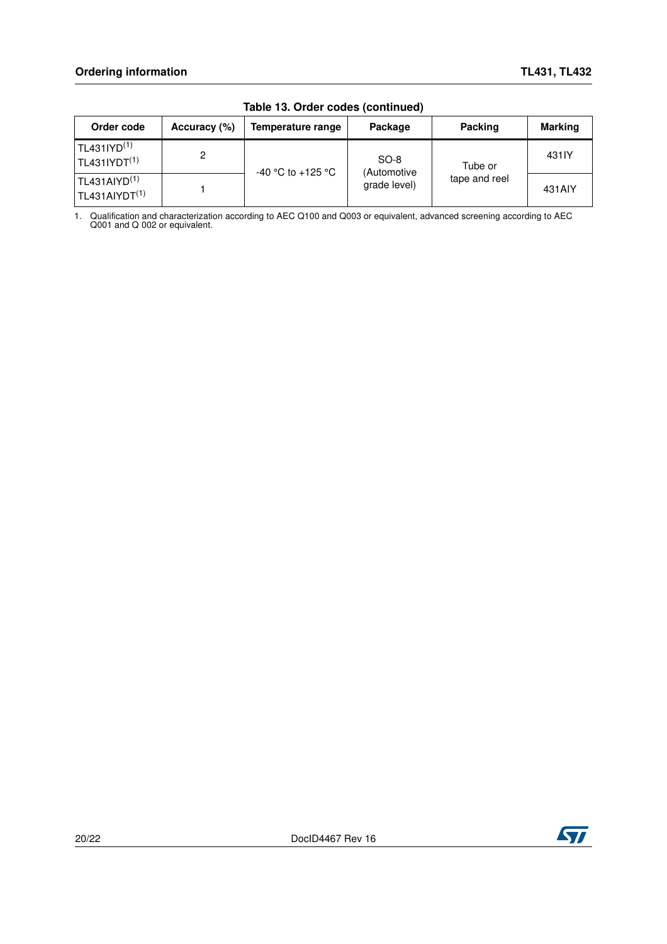| Order code                                                             | Accuracy (%) | Temperature range | Package               | Packing                  | <b>Marking</b> |  |
|------------------------------------------------------------------------|--------------|-------------------|-----------------------|--------------------------|----------------|--|
| $TL431$ $\text{I} \text{Y} \text{D}^{(1)}$<br>TL431IVDT <sup>(1)</sup> | 2            |                   | $SO-8$<br>(Automotive | Tube or<br>tape and reel | 431IY          |  |
| TL431A <sub>1</sub> <sub>1</sub><br>TL431AIVDT <sup>(1)</sup>          |              | -40 °C to +125 °C | grade level)          |                          | 431AIY         |  |

**Table 13. Order codes (continued)**

1. Qualification and characterization according to AEC Q100 and Q003 or equivalent, advanced screening according to AEC Q001 and Q 002 or equivalent.

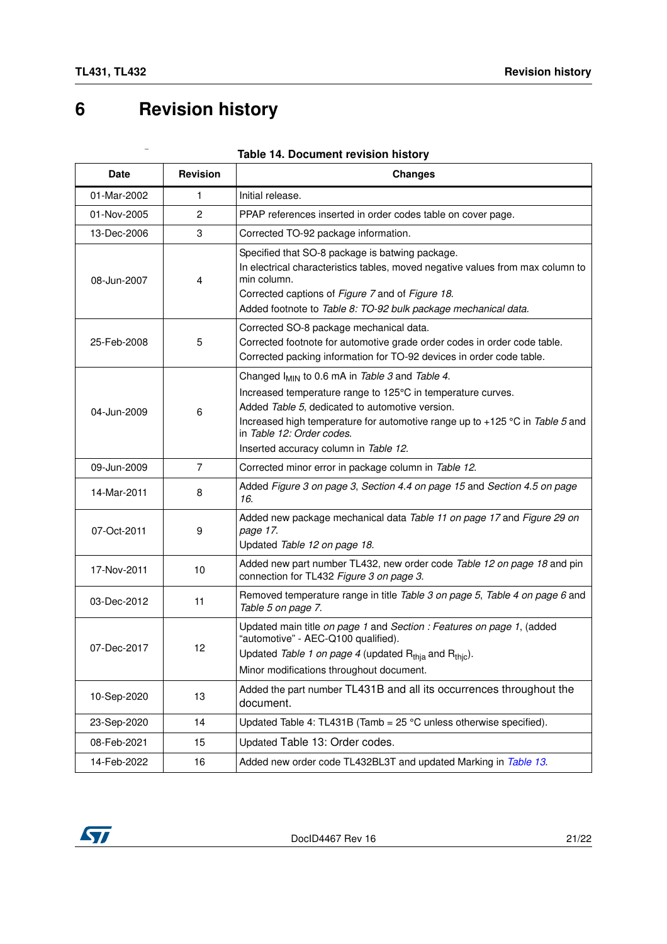# <span id="page-20-0"></span>**6 Revision history**

nes

| <b>Date</b> | <b>Revision</b> | <b>Changes</b>                                                                                                                                                                                                                                                                                                                     |
|-------------|-----------------|------------------------------------------------------------------------------------------------------------------------------------------------------------------------------------------------------------------------------------------------------------------------------------------------------------------------------------|
| 01-Mar-2002 | 1               | Initial release.                                                                                                                                                                                                                                                                                                                   |
| 01-Nov-2005 | $\overline{2}$  | PPAP references inserted in order codes table on cover page.                                                                                                                                                                                                                                                                       |
| 13-Dec-2006 | 3               | Corrected TO-92 package information.                                                                                                                                                                                                                                                                                               |
| 08-Jun-2007 | 4               | Specified that SO-8 package is batwing package.<br>In electrical characteristics tables, moved negative values from max column to<br>min column.<br>Corrected captions of Figure 7 and of Figure 18.<br>Added footnote to Table 8: TO-92 bulk package mechanical data.                                                             |
| 25-Feb-2008 | 5               | Corrected SO-8 package mechanical data.<br>Corrected footnote for automotive grade order codes in order code table.<br>Corrected packing information for TO-92 devices in order code table.                                                                                                                                        |
| 04-Jun-2009 | 6               | Changed I <sub>MIN</sub> to 0.6 mA in Table 3 and Table 4.<br>Increased temperature range to 125°C in temperature curves.<br>Added Table 5, dedicated to automotive version.<br>Increased high temperature for automotive range up to +125 °C in Table 5 and<br>in Table 12: Order codes.<br>Inserted accuracy column in Table 12. |
| 09-Jun-2009 | $\overline{7}$  | Corrected minor error in package column in Table 12.                                                                                                                                                                                                                                                                               |
| 14-Mar-2011 | 8               | Added Figure 3 on page 3, Section 4.4 on page 15 and Section 4.5 on page<br>16.                                                                                                                                                                                                                                                    |
| 07-Oct-2011 | 9               | Added new package mechanical data Table 11 on page 17 and Figure 29 on<br>page 17.<br>Updated Table 12 on page 18.                                                                                                                                                                                                                 |
| 17-Nov-2011 | 10              | Added new part number TL432, new order code Table 12 on page 18 and pin<br>connection for TL432 Figure 3 on page 3.                                                                                                                                                                                                                |
| 03-Dec-2012 | 11              | Removed temperature range in title Table 3 on page 5, Table 4 on page 6 and<br>Table 5 on page 7.                                                                                                                                                                                                                                  |
| 07-Dec-2017 | 12              | Updated main title on page 1 and Section : Features on page 1, (added<br>"automotive" - AEC-Q100 qualified).<br>Updated Table 1 on page 4 (updated R <sub>thia</sub> and R <sub>thic</sub> ).<br>Minor modifications throughout document.                                                                                          |
| 10-Sep-2020 | 13              | Added the part number TL431B and all its occurrences throughout the<br>document.                                                                                                                                                                                                                                                   |
| 23-Sep-2020 | 14              | Updated Table 4: TL431B (Tamb = $25^{\circ}$ C unless otherwise specified).                                                                                                                                                                                                                                                        |
| 08-Feb-2021 | 15              | Updated Table 13: Order codes.                                                                                                                                                                                                                                                                                                     |
| 14-Feb-2022 | 16              | Added new order code TL432BL3T and updated Marking in Table 13.                                                                                                                                                                                                                                                                    |

#### **Table 14. Document revision history**